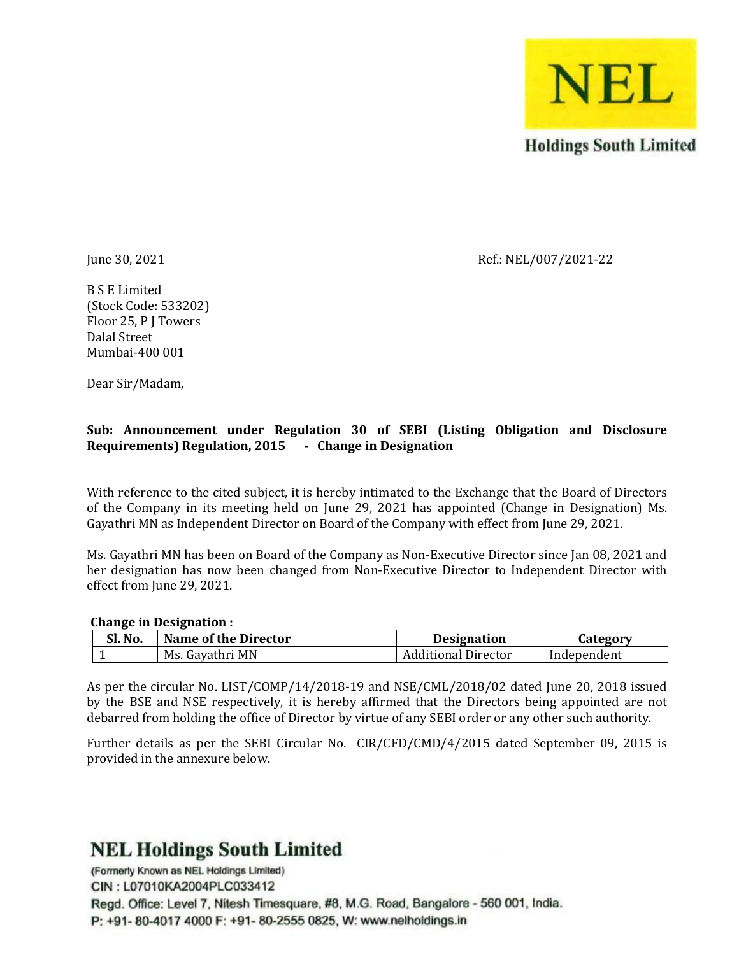

June 30, 2021 Ref.: NEL/007/2021-22

B S E Limited (Stock Code: 533202) Floor 25, P J Towers Dalal Street Mumbai-400 001

Dear Sir/Madam,

### **Sub: Announcement under Regulation 30 of SEBI (Listing Obligation and Disclosure Requirements) Regulation, 2015 - Change in Designation**

With reference to the cited subject, it is hereby intimated to the Exchange that the Board of Directors of the Company in its meeting held on June 29, 2021 has appointed (Change in Designation) Ms. Gayathri MN as Independent Director on Board of the Company with effect from June 29, 2021.

Ms. Gayathri MN has been on Board of the Company as Non-Executive Director since Jan 08, 2021 and her designation has now been changed from Non-Executive Director to Independent Director with effect from June 29, 2021.

#### **Change in Designation :**

| Sl. No. | <b>Name of the Director</b> | <b>Designation</b> |             |
|---------|-----------------------------|--------------------|-------------|
|         | . Gavathri MN<br>Ms.        | Jditional Director | Independent |

As per the circular No. LIST/COMP/14/2018-19 and NSE/CML/2018/02 dated June 20, 2018 issued by the BSE and NSE respectively, it is hereby affirmed that the Directors being appointed are not debarred from holding the office of Director by virtue of any SEBI order or any other such authority.

Further details as per the SEBI Circular No. CIR/CFD/CMD/4/2015 dated September 09, 2015 is provided in the annexure below.

# **NEL Holdings South Limited**

(Formerly Known as NEL Holdings Limited) CIN: L07010KA2004PLC033412 Regd. Office: Level 7. Nitesh Timesquare, #8, M.G. Road, Bangalore - 560 001, India. P: +91- 80-4017 4000 F: +91- 80-2555 0825, W: www.nelholdings.in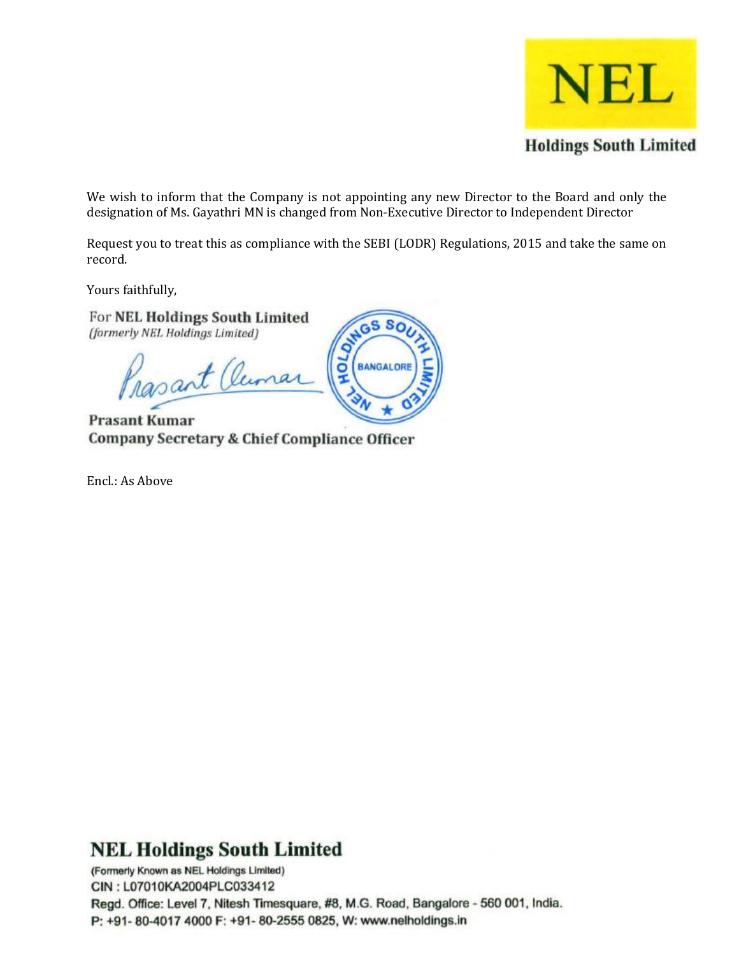

We wish to inform that the Company is not appointing any new Director to the Board and only the designation of Ms. Gayathri MN is changed from Non-Executive Director to Independent Director

Request you to treat this as compliance with the SEBI (LODR) Regulations, 2015 and take the same on record.

SWGS SO

BANGALORE

ğ

Yours faithfully,

For NEL Holdings South Limited (formerly NEL Holdings Limited)

Prasant Ouma

**Prasant Kumar Company Secretary & Chief Compliance Officer** 

Encl.: As Above

**NEL Holdings South Limited** 

(Formerly Known as NEL Holdings Limited) CIN: L07010KA2004PLC033412 Regd. Office: Level 7, Nitesh Timesquare, #8, M.G. Road, Bangalore - 560 001, India. P: +91- 80-4017 4000 F: +91- 80-2555 0825, W: www.nelholdings.in